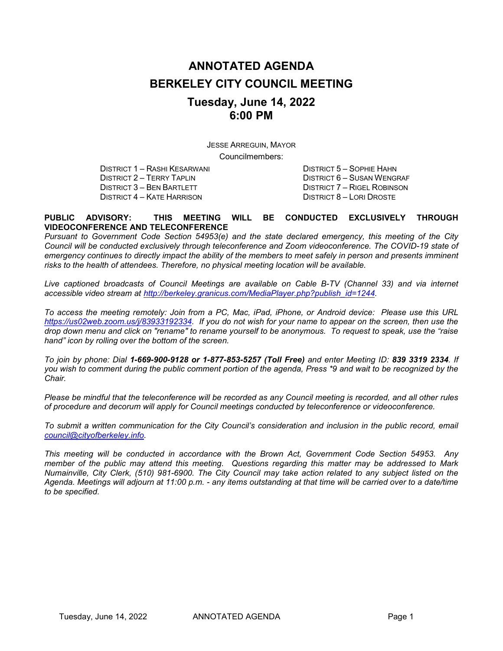# **ANNOTATED AGENDA BERKELEY CITY COUNCIL MEETING Tuesday, June 14, 2022 6:00 PM**

JESSE ARREGUIN, MAYOR

Councilmembers:

DISTRICT 1 – RASHI KESARWANI DISTRICT 5 – SOPHIE HAHN DISTRICT 3 – BEN BARTLETT DISTRICT 7 – RIGEL ROBINSON DISTRICT 4 – KATE HARRISON DISTRICT 8 – LORI DROSTE

DISTRICT 6 – SUSAN WENGRAF

#### **PUBLIC ADVISORY: THIS MEETING WILL BE CONDUCTED EXCLUSIVELY THROUGH VIDEOCONFERENCE AND TELECONFERENCE**

*Pursuant to Government Code Section 54953(e) and the state declared emergency, this meeting of the City Council will be conducted exclusively through teleconference and Zoom videoconference. The COVID-19 state of emergency continues to directly impact the ability of the members to meet safely in person and presents imminent risks to the health of attendees. Therefore, no physical meeting location will be available.*

*Live captioned broadcasts of Council Meetings are available on Cable B-TV (Channel 33) and via internet accessible video stream at [http://berkeley.granicus.com/MediaPlayer.php?publish\\_id=1244.](http://berkeley.granicus.com/MediaPlayer.php?publish_id=1244)* 

*To access the meeting remotely: Join from a PC, Mac, iPad, iPhone, or Android device: Please use this URL [https://us02web.zoom.us/j/83933192334.](https://us02web.zoom.us/j/83933192334) If you do not wish for your name to appear on the screen, then use the drop down menu and click on "rename" to rename yourself to be anonymous. To request to speak, use the "raise hand" icon by rolling over the bottom of the screen.* 

*To join by phone: Dial 1-669-900-9128 or 1-877-853-5257 (Toll Free) and enter Meeting ID: 839 3319 2334. If you wish to comment during the public comment portion of the agenda, Press \*9 and wait to be recognized by the Chair.* 

*Please be mindful that the teleconference will be recorded as any Council meeting is recorded, and all other rules of procedure and decorum will apply for Council meetings conducted by teleconference or videoconference.*

*To submit a written communication for the City Council's consideration and inclusion in the public record, email [council@cityofberkeley.info.](mailto:council@cityofberkeley.info)* 

*This meeting will be conducted in accordance with the Brown Act, Government Code Section 54953. Any member of the public may attend this meeting. Questions regarding this matter may be addressed to Mark Numainville, City Clerk, (510) 981-6900. The City Council may take action related to any subject listed on the Agenda. Meetings will adjourn at 11:00 p.m. - any items outstanding at that time will be carried over to a date/time to be specified.*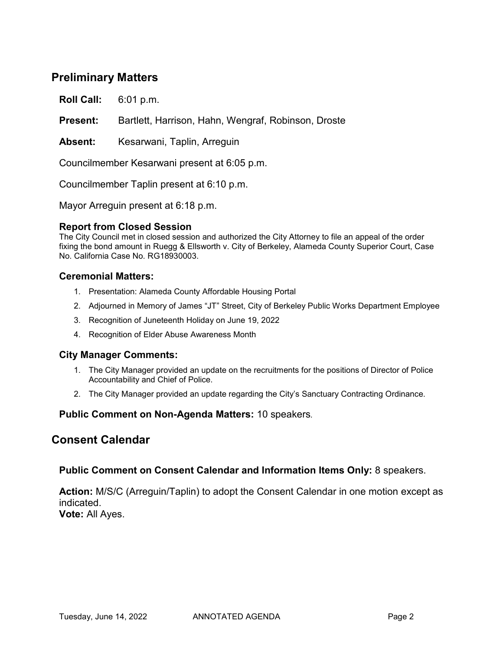## **Preliminary Matters**

**Roll Call:** 6:01 p.m.

**Present:** Bartlett, Harrison, Hahn, Wengraf, Robinson, Droste

**Absent:** Kesarwani, Taplin, Arreguin

Councilmember Kesarwani present at 6:05 p.m.

Councilmember Taplin present at 6:10 p.m.

Mayor Arreguin present at 6:18 p.m.

#### **Report from Closed Session**

The City Council met in closed session and authorized the City Attorney to file an appeal of the order fixing the bond amount in Ruegg & Ellsworth v. City of Berkeley, Alameda County Superior Court, Case No. California Case No. RG18930003.

#### **Ceremonial Matters:**

- 1. Presentation: Alameda County Affordable Housing Portal
- 2. Adjourned in Memory of James "JT" Street, City of Berkeley Public Works Department Employee
- 3. Recognition of Juneteenth Holiday on June 19, 2022
- 4. Recognition of Elder Abuse Awareness Month

#### **City Manager Comments:**

- 1. The City Manager provided an update on the recruitments for the positions of Director of Police Accountability and Chief of Police.
- 2. The City Manager provided an update regarding the City's Sanctuary Contracting Ordinance.

#### **Public Comment on Non-Agenda Matters:** 10 speakers*.*

## **Consent Calendar**

#### **Public Comment on Consent Calendar and Information Items Only:** 8 speakers.

**Action:** M/S/C (Arreguin/Taplin) to adopt the Consent Calendar in one motion except as indicated.

**Vote:** All Ayes.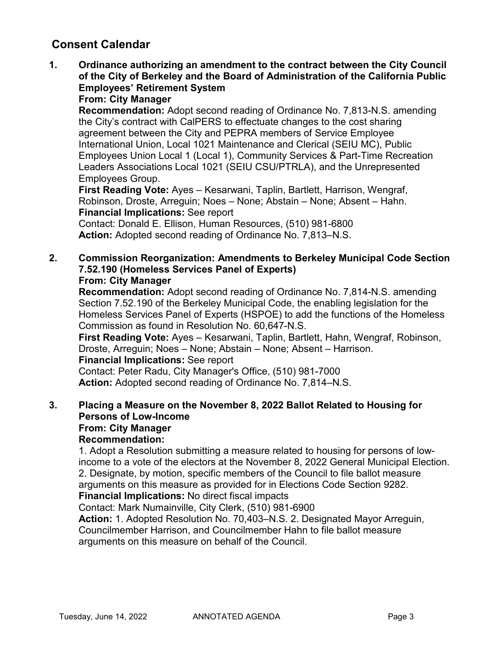**1. Ordinance authorizing an amendment to the contract between the City Council of the City of Berkeley and the Board of Administration of the California Public Employees' Retirement System From: City Manager**

**Recommendation:** Adopt second reading of Ordinance No. 7,813-N.S. amending the City's contract with CalPERS to effectuate changes to the cost sharing agreement between the City and PEPRA members of Service Employee International Union, Local 1021 Maintenance and Clerical (SEIU MC), Public Employees Union Local 1 (Local 1), Community Services & Part-Time Recreation Leaders Associations Local 1021 (SEIU CSU/PTRLA), and the Unrepresented Employees Group.

**First Reading Vote:** Ayes – Kesarwani, Taplin, Bartlett, Harrison, Wengraf, Robinson, Droste, Arreguin; Noes – None; Abstain – None; Absent – Hahn. **Financial Implications:** See report

Contact: Donald E. Ellison, Human Resources, (510) 981-6800 **Action:** Adopted second reading of Ordinance No. 7,813–N.S.

**2. Commission Reorganization: Amendments to Berkeley Municipal Code Section 7.52.190 (Homeless Services Panel of Experts) From: City Manager**

**Recommendation:** Adopt second reading of Ordinance No. 7,814-N.S. amending Section 7.52.190 of the Berkeley Municipal Code, the enabling legislation for the Homeless Services Panel of Experts (HSPOE) to add the functions of the Homeless Commission as found in Resolution No. 60,647-N.S.

**First Reading Vote:** Ayes – Kesarwani, Taplin, Bartlett, Hahn, Wengraf, Robinson, Droste, Arreguin; Noes – None; Abstain – None; Absent – Harrison. **Financial Implications:** See report

Contact: Peter Radu, City Manager's Office, (510) 981-7000 **Action:** Adopted second reading of Ordinance No. 7,814–N.S.

**3. Placing a Measure on the November 8, 2022 Ballot Related to Housing for Persons of Low-Income From: City Manager Recommendation:** 

1. Adopt a Resolution submitting a measure related to housing for persons of lowincome to a vote of the electors at the November 8, 2022 General Municipal Election. 2. Designate, by motion, specific members of the Council to file ballot measure arguments on this measure as provided for in Elections Code Section 9282. **Financial Implications:** No direct fiscal impacts

Contact: Mark Numainville, City Clerk, (510) 981-6900

**Action:** 1. Adopted Resolution No. 70,403–N.S. 2. Designated Mayor Arreguin, Councilmember Harrison, and Councilmember Hahn to file ballot measure arguments on this measure on behalf of the Council.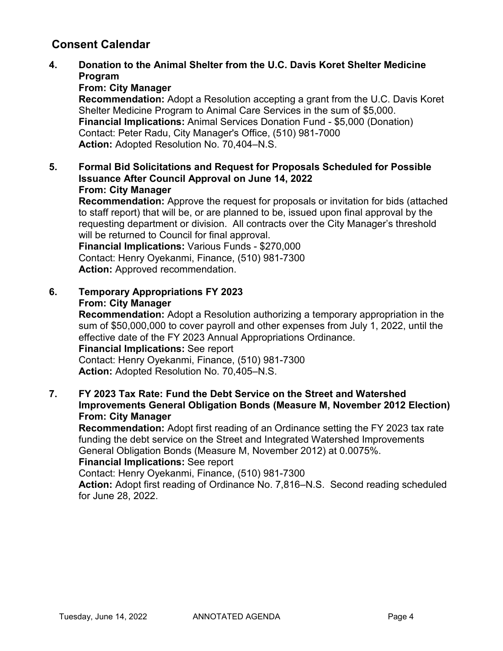**4. Donation to the Animal Shelter from the U.C. Davis Koret Shelter Medicine Program**

## **From: City Manager**

**Recommendation:** Adopt a Resolution accepting a grant from the U.C. Davis Koret Shelter Medicine Program to Animal Care Services in the sum of \$5,000. **Financial Implications:** Animal Services Donation Fund - \$5,000 (Donation) Contact: Peter Radu, City Manager's Office, (510) 981-7000 **Action:** Adopted Resolution No. 70,404–N.S.

**5. Formal Bid Solicitations and Request for Proposals Scheduled for Possible Issuance After Council Approval on June 14, 2022 From: City Manager**

**Recommendation:** Approve the request for proposals or invitation for bids (attached to staff report) that will be, or are planned to be, issued upon final approval by the requesting department or division. All contracts over the City Manager's threshold will be returned to Council for final approval.

**Financial Implications:** Various Funds - \$270,000 Contact: Henry Oyekanmi, Finance, (510) 981-7300 **Action:** Approved recommendation.

**6. Temporary Appropriations FY 2023 From: City Manager**

**Recommendation:** Adopt a Resolution authorizing a temporary appropriation in the sum of \$50,000,000 to cover payroll and other expenses from July 1, 2022, until the effective date of the FY 2023 Annual Appropriations Ordinance. **Financial Implications:** See report

Contact: Henry Oyekanmi, Finance, (510) 981-7300 **Action:** Adopted Resolution No. 70,405–N.S.

**7. FY 2023 Tax Rate: Fund the Debt Service on the Street and Watershed Improvements General Obligation Bonds (Measure M, November 2012 Election) From: City Manager**

**Recommendation:** Adopt first reading of an Ordinance setting the FY 2023 tax rate funding the debt service on the Street and Integrated Watershed Improvements General Obligation Bonds (Measure M, November 2012) at 0.0075%.

## **Financial Implications:** See report

Contact: Henry Oyekanmi, Finance, (510) 981-7300

**Action:** Adopt first reading of Ordinance No. 7,816–N.S. Second reading scheduled for June 28, 2022.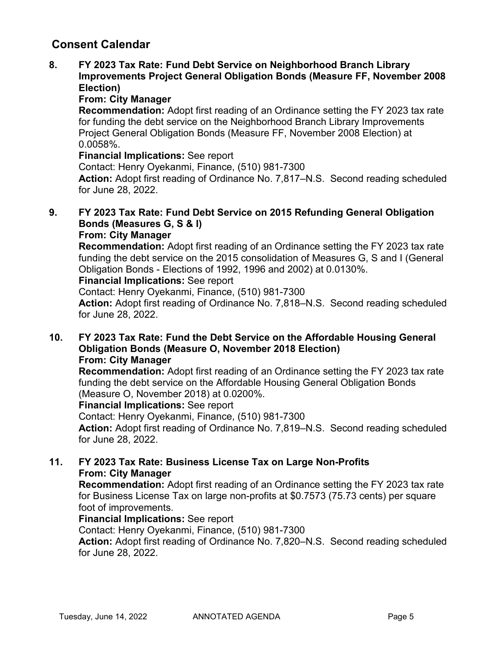## **8. FY 2023 Tax Rate: Fund Debt Service on Neighborhood Branch Library Improvements Project General Obligation Bonds (Measure FF, November 2008 Election)**

## **From: City Manager**

**Recommendation:** Adopt first reading of an Ordinance setting the FY 2023 tax rate for funding the debt service on the Neighborhood Branch Library Improvements Project General Obligation Bonds (Measure FF, November 2008 Election) at 0.0058%.

## **Financial Implications:** See report

Contact: Henry Oyekanmi, Finance, (510) 981-7300

**Action:** Adopt first reading of Ordinance No. 7,817–N.S. Second reading scheduled for June 28, 2022.

#### **9. FY 2023 Tax Rate: Fund Debt Service on 2015 Refunding General Obligation Bonds (Measures G, S & I) From: City Manager**

**Recommendation:** Adopt first reading of an Ordinance setting the FY 2023 tax rate funding the debt service on the 2015 consolidation of Measures G, S and I (General Obligation Bonds - Elections of 1992, 1996 and 2002) at 0.0130%.

## **Financial Implications:** See report

Contact: Henry Oyekanmi, Finance, (510) 981-7300

**Action:** Adopt first reading of Ordinance No. 7,818–N.S. Second reading scheduled for June 28, 2022.

#### **10. FY 2023 Tax Rate: Fund the Debt Service on the Affordable Housing General Obligation Bonds (Measure O, November 2018 Election) From: City Manager**

**Recommendation:** Adopt first reading of an Ordinance setting the FY 2023 tax rate funding the debt service on the Affordable Housing General Obligation Bonds (Measure O, November 2018) at 0.0200%.

## **Financial Implications:** See report

Contact: Henry Oyekanmi, Finance, (510) 981-7300

**Action:** Adopt first reading of Ordinance No. 7,819–N.S. Second reading scheduled for June 28, 2022.

## **11. FY 2023 Tax Rate: Business License Tax on Large Non-Profits From: City Manager**

**Recommendation:** Adopt first reading of an Ordinance setting the FY 2023 tax rate for Business License Tax on large non-profits at \$0.7573 (75.73 cents) per square foot of improvements.

## **Financial Implications:** See report

Contact: Henry Oyekanmi, Finance, (510) 981-7300

**Action:** Adopt first reading of Ordinance No. 7,820–N.S. Second reading scheduled for June 28, 2022.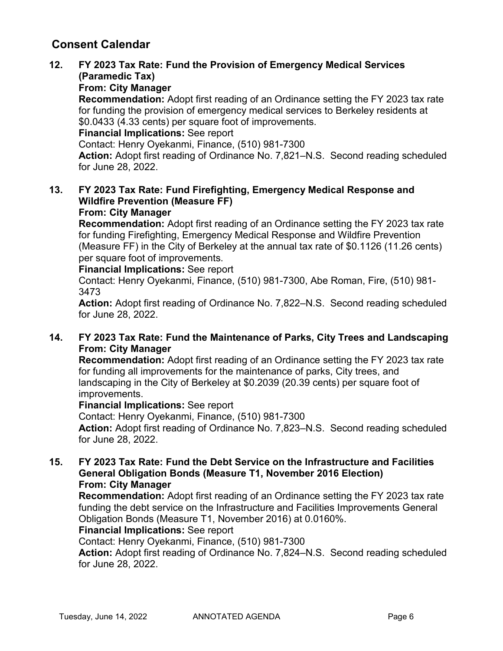## **12. FY 2023 Tax Rate: Fund the Provision of Emergency Medical Services (Paramedic Tax)**

## **From: City Manager**

**Recommendation:** Adopt first reading of an Ordinance setting the FY 2023 tax rate for funding the provision of emergency medical services to Berkeley residents at \$0.0433 (4.33 cents) per square foot of improvements.

**Financial Implications:** See report

Contact: Henry Oyekanmi, Finance, (510) 981-7300

**Action:** Adopt first reading of Ordinance No. 7,821–N.S. Second reading scheduled for June 28, 2022.

#### **13. FY 2023 Tax Rate: Fund Firefighting, Emergency Medical Response and Wildfire Prevention (Measure FF) From: City Manager**

**Recommendation:** Adopt first reading of an Ordinance setting the FY 2023 tax rate for funding Firefighting, Emergency Medical Response and Wildfire Prevention (Measure FF) in the City of Berkeley at the annual tax rate of \$0.1126 (11.26 cents) per square foot of improvements.

**Financial Implications:** See report

Contact: Henry Oyekanmi, Finance, (510) 981-7300, Abe Roman, Fire, (510) 981- 3473

**Action:** Adopt first reading of Ordinance No. 7,822–N.S. Second reading scheduled for June 28, 2022.

## **14. FY 2023 Tax Rate: Fund the Maintenance of Parks, City Trees and Landscaping From: City Manager**

**Recommendation:** Adopt first reading of an Ordinance setting the FY 2023 tax rate for funding all improvements for the maintenance of parks, City trees, and landscaping in the City of Berkeley at \$0.2039 (20.39 cents) per square foot of improvements.

## **Financial Implications:** See report

Contact: Henry Oyekanmi, Finance, (510) 981-7300 **Action:** Adopt first reading of Ordinance No. 7,823–N.S. Second reading scheduled for June 28, 2022.

**15. FY 2023 Tax Rate: Fund the Debt Service on the Infrastructure and Facilities General Obligation Bonds (Measure T1, November 2016 Election) From: City Manager**

**Recommendation:** Adopt first reading of an Ordinance setting the FY 2023 tax rate funding the debt service on the Infrastructure and Facilities Improvements General Obligation Bonds (Measure T1, November 2016) at 0.0160%.

## **Financial Implications:** See report

Contact: Henry Oyekanmi, Finance, (510) 981-7300

**Action:** Adopt first reading of Ordinance No. 7,824–N.S. Second reading scheduled for June 28, 2022.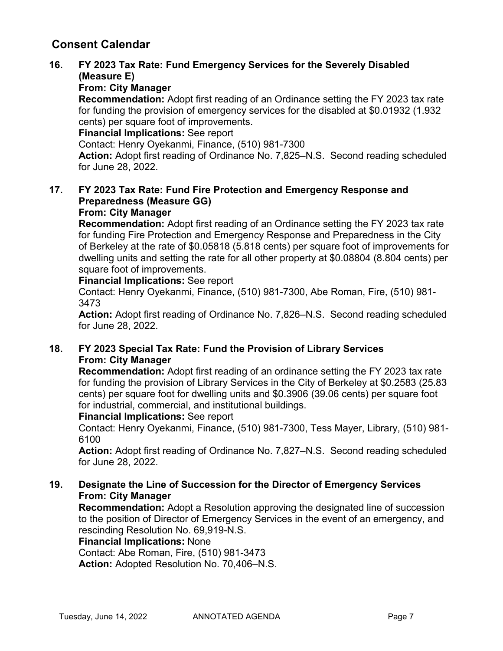## **16. FY 2023 Tax Rate: Fund Emergency Services for the Severely Disabled (Measure E)**

## **From: City Manager**

**Recommendation:** Adopt first reading of an Ordinance setting the FY 2023 tax rate for funding the provision of emergency services for the disabled at \$0.01932 (1.932 cents) per square foot of improvements.

**Financial Implications:** See report

Contact: Henry Oyekanmi, Finance, (510) 981-7300

**Action:** Adopt first reading of Ordinance No. 7,825–N.S. Second reading scheduled for June 28, 2022.

#### **17. FY 2023 Tax Rate: Fund Fire Protection and Emergency Response and Preparedness (Measure GG) From: City Manager**

**Recommendation:** Adopt first reading of an Ordinance setting the FY 2023 tax rate for funding Fire Protection and Emergency Response and Preparedness in the City of Berkeley at the rate of \$0.05818 (5.818 cents) per square foot of improvements for dwelling units and setting the rate for all other property at \$0.08804 (8.804 cents) per square foot of improvements.

**Financial Implications:** See report

Contact: Henry Oyekanmi, Finance, (510) 981-7300, Abe Roman, Fire, (510) 981- 3473

**Action:** Adopt first reading of Ordinance No. 7,826–N.S. Second reading scheduled for June 28, 2022.

## **18. FY 2023 Special Tax Rate: Fund the Provision of Library Services From: City Manager**

**Recommendation:** Adopt first reading of an ordinance setting the FY 2023 tax rate for funding the provision of Library Services in the City of Berkeley at \$0.2583 (25.83 cents) per square foot for dwelling units and \$0.3906 (39.06 cents) per square foot for industrial, commercial, and institutional buildings.

## **Financial Implications:** See report

Contact: Henry Oyekanmi, Finance, (510) 981-7300, Tess Mayer, Library, (510) 981- 6100

**Action:** Adopt first reading of Ordinance No. 7,827–N.S. Second reading scheduled for June 28, 2022.

## **19. Designate the Line of Succession for the Director of Emergency Services From: City Manager**

**Recommendation:** Adopt a Resolution approving the designated line of succession to the position of Director of Emergency Services in the event of an emergency, and rescinding Resolution No. 69,919-N.S.

**Financial Implications:** None

Contact: Abe Roman, Fire, (510) 981-3473 **Action:** Adopted Resolution No. 70,406–N.S.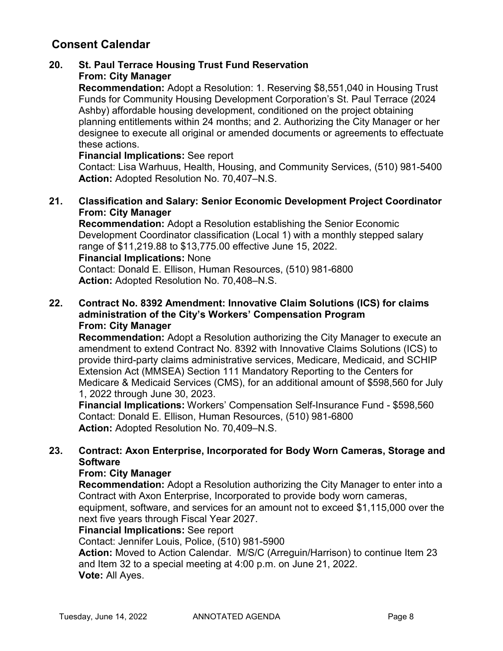## **20. St. Paul Terrace Housing Trust Fund Reservation From: City Manager**

**Recommendation:** Adopt a Resolution: 1. Reserving \$8,551,040 in Housing Trust Funds for Community Housing Development Corporation's St. Paul Terrace (2024 Ashby) affordable housing development, conditioned on the project obtaining planning entitlements within 24 months; and 2. Authorizing the City Manager or her designee to execute all original or amended documents or agreements to effectuate these actions.

#### **Financial Implications:** See report

Contact: Lisa Warhuus, Health, Housing, and Community Services, (510) 981-5400 **Action:** Adopted Resolution No. 70,407–N.S.

#### **21. Classification and Salary: Senior Economic Development Project Coordinator From: City Manager**

**Recommendation:** Adopt a Resolution establishing the Senior Economic Development Coordinator classification (Local 1) with a monthly stepped salary range of \$11,219.88 to \$13,775.00 effective June 15, 2022.

#### **Financial Implications:** None

Contact: Donald E. Ellison, Human Resources, (510) 981-6800 **Action:** Adopted Resolution No. 70,408–N.S.

## **22. Contract No. 8392 Amendment: Innovative Claim Solutions (ICS) for claims administration of the City's Workers' Compensation Program From: City Manager**

**Recommendation:** Adopt a Resolution authorizing the City Manager to execute an amendment to extend Contract No. 8392 with Innovative Claims Solutions (ICS) to provide third-party claims administrative services, Medicare, Medicaid, and SCHIP Extension Act (MMSEA) Section 111 Mandatory Reporting to the Centers for Medicare & Medicaid Services (CMS), for an additional amount of \$598,560 for July 1, 2022 through June 30, 2023.

**Financial Implications:** Workers' Compensation Self-Insurance Fund - \$598,560 Contact: Donald E. Ellison, Human Resources, (510) 981-6800 **Action:** Adopted Resolution No. 70,409–N.S.

## **23. Contract: Axon Enterprise, Incorporated for Body Worn Cameras, Storage and Software**

## **From: City Manager**

**Recommendation:** Adopt a Resolution authorizing the City Manager to enter into a Contract with Axon Enterprise, Incorporated to provide body worn cameras,

equipment, software, and services for an amount not to exceed \$1,115,000 over the next five years through Fiscal Year 2027.

## **Financial Implications:** See report

Contact: Jennifer Louis, Police, (510) 981-5900

**Action:** Moved to Action Calendar. M/S/C (Arreguin/Harrison) to continue Item 23 and Item 32 to a special meeting at 4:00 p.m. on June 21, 2022. **Vote:** All Ayes.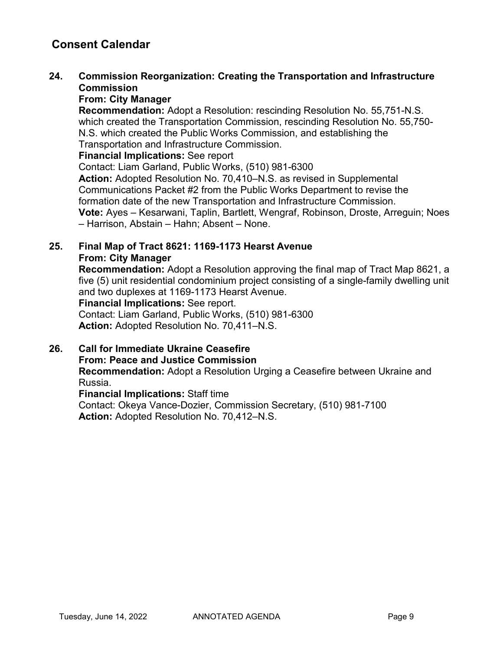## **24. Commission Reorganization: Creating the Transportation and Infrastructure Commission**

## **From: City Manager**

**Recommendation:** Adopt a Resolution: rescinding Resolution No. 55,751-N.S. which created the Transportation Commission, rescinding Resolution No. 55,750- N.S. which created the Public Works Commission, and establishing the Transportation and Infrastructure Commission.

#### **Financial Implications:** See report

Contact: Liam Garland, Public Works, (510) 981-6300

**Action:** Adopted Resolution No. 70,410–N.S. as revised in Supplemental Communications Packet #2 from the Public Works Department to revise the formation date of the new Transportation and Infrastructure Commission. **Vote:** Ayes – Kesarwani, Taplin, Bartlett, Wengraf, Robinson, Droste, Arreguin; Noes – Harrison, Abstain – Hahn; Absent – None.

## **25. Final Map of Tract 8621: 1169-1173 Hearst Avenue From: City Manager**

**Recommendation:** Adopt a Resolution approving the final map of Tract Map 8621, a five (5) unit residential condominium project consisting of a single-family dwelling unit and two duplexes at 1169-1173 Hearst Avenue.

**Financial Implications:** See report.

Contact: Liam Garland, Public Works, (510) 981-6300 **Action:** Adopted Resolution No. 70,411–N.S.

**26. Call for Immediate Ukraine Ceasefire From: Peace and Justice Commission Recommendation:** Adopt a Resolution Urging a Ceasefire between Ukraine and

Russia.

**Financial Implications:** Staff time Contact: Okeya Vance-Dozier, Commission Secretary, (510) 981-7100 **Action:** Adopted Resolution No. 70,412–N.S.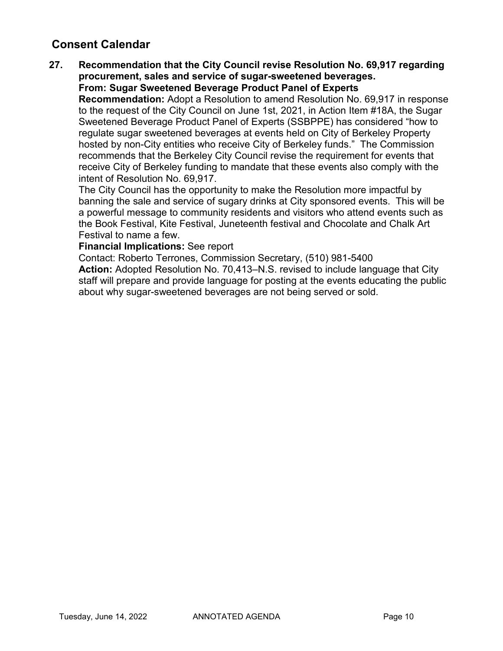#### **27. Recommendation that the City Council revise Resolution No. 69,917 regarding procurement, sales and service of sugar-sweetened beverages. From: Sugar Sweetened Beverage Product Panel of Experts**

**Recommendation:** Adopt a Resolution to amend Resolution No. 69,917 in response to the request of the City Council on June 1st, 2021, in Action Item #18A, the Sugar Sweetened Beverage Product Panel of Experts (SSBPPE) has considered "how to regulate sugar sweetened beverages at events held on City of Berkeley Property hosted by non-City entities who receive City of Berkeley funds." The Commission recommends that the Berkeley City Council revise the requirement for events that receive City of Berkeley funding to mandate that these events also comply with the intent of Resolution No. 69,917.

The City Council has the opportunity to make the Resolution more impactful by banning the sale and service of sugary drinks at City sponsored events. This will be a powerful message to community residents and visitors who attend events such as the Book Festival, Kite Festival, Juneteenth festival and Chocolate and Chalk Art Festival to name a few.

#### **Financial Implications:** See report

Contact: Roberto Terrones, Commission Secretary, (510) 981-5400 **Action:** Adopted Resolution No. 70,413–N.S. revised to include language that City staff will prepare and provide language for posting at the events educating the public about why sugar-sweetened beverages are not being served or sold.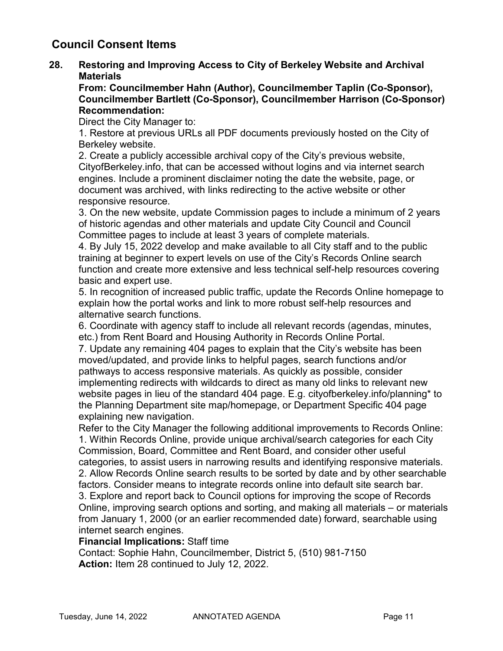## **Council Consent Items**

**28. Restoring and Improving Access to City of Berkeley Website and Archival Materials**

**From: Councilmember Hahn (Author), Councilmember Taplin (Co-Sponsor), Councilmember Bartlett (Co-Sponsor), Councilmember Harrison (Co-Sponsor) Recommendation:** 

Direct the City Manager to:

1. Restore at previous URLs all PDF documents previously hosted on the City of Berkeley website.

2. Create a publicly accessible archival copy of the City's previous website, CityofBerkeley.info, that can be accessed without logins and via internet search engines. Include a prominent disclaimer noting the date the website, page, or document was archived, with links redirecting to the active website or other responsive resource.

3. On the new website, update Commission pages to include a minimum of 2 years of historic agendas and other materials and update City Council and Council Committee pages to include at least 3 years of complete materials.

4. By July 15, 2022 develop and make available to all City staff and to the public training at beginner to expert levels on use of the City's Records Online search function and create more extensive and less technical self-help resources covering basic and expert use.

5. In recognition of increased public traffic, update the Records Online homepage to explain how the portal works and link to more robust self-help resources and alternative search functions.

6. Coordinate with agency staff to include all relevant records (agendas, minutes, etc.) from Rent Board and Housing Authority in Records Online Portal.

7. Update any remaining 404 pages to explain that the City's website has been moved/updated, and provide links to helpful pages, search functions and/or pathways to access responsive materials. As quickly as possible, consider implementing redirects with wildcards to direct as many old links to relevant new website pages in lieu of the standard 404 page. E.g. cityofberkeley.info/planning\* to the Planning Department site map/homepage, or Department Specific 404 page explaining new navigation.

Refer to the City Manager the following additional improvements to Records Online: 1. Within Records Online, provide unique archival/search categories for each City Commission, Board, Committee and Rent Board, and consider other useful categories, to assist users in narrowing results and identifying responsive materials. 2. Allow Records Online search results to be sorted by date and by other searchable factors. Consider means to integrate records online into default site search bar. 3. Explore and report back to Council options for improving the scope of Records Online, improving search options and sorting, and making all materials – or materials from January 1, 2000 (or an earlier recommended date) forward, searchable using internet search engines.

## **Financial Implications:** Staff time

Contact: Sophie Hahn, Councilmember, District 5, (510) 981-7150 **Action:** Item 28 continued to July 12, 2022.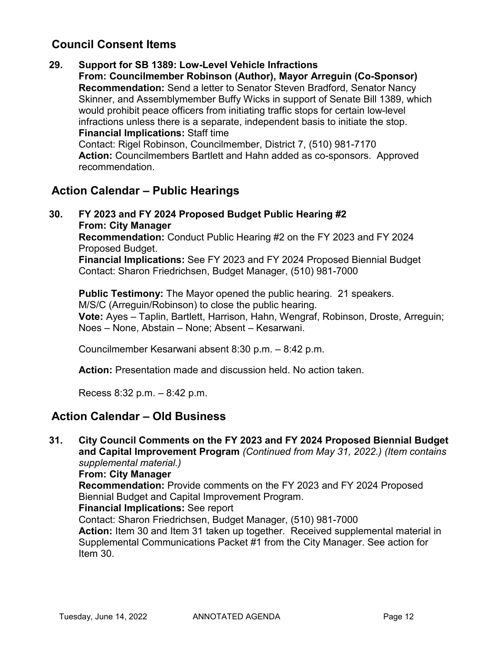## **Council Consent Items**

**29. Support for SB 1389: Low-Level Vehicle Infractions From: Councilmember Robinson (Author), Mayor Arreguin (Co-Sponsor) Recommendation:** Send a letter to Senator Steven Bradford, Senator Nancy Skinner, and Assemblymember Buffy Wicks in support of Senate Bill 1389, which would prohibit peace officers from initiating traffic stops for certain low-level infractions unless there is a separate, independent basis to initiate the stop. **Financial Implications:** Staff time Contact: Rigel Robinson, Councilmember, District 7, (510) 981-7170 **Action:** Councilmembers Bartlett and Hahn added as co-sponsors. Approved recommendation.

## **Action Calendar – Public Hearings**

**30. FY 2023 and FY 2024 Proposed Budget Public Hearing #2 From: City Manager Recommendation:** Conduct Public Hearing #2 on the FY 2023 and FY 2024 Proposed Budget. **Financial Implications:** See FY 2023 and FY 2024 Proposed Biennial Budget Contact: Sharon Friedrichsen, Budget Manager, (510) 981-7000

**Public Testimony:** The Mayor opened the public hearing. 21 speakers. M/S/C (Arreguin/Robinson) to close the public hearing. **Vote:** Ayes – Taplin, Bartlett, Harrison, Hahn, Wengraf, Robinson, Droste, Arreguin; Noes – None, Abstain – None; Absent – Kesarwani.

Councilmember Kesarwani absent 8:30 p.m. – 8:42 p.m.

**Action:** Presentation made and discussion held. No action taken.

Recess 8:32 p.m. – 8:42 p.m.

## **Action Calendar – Old Business**

**31. City Council Comments on the FY 2023 and FY 2024 Proposed Biennial Budget and Capital Improvement Program** *(Continued from May 31, 2022.) (Item contains supplemental material.)*

#### **From: City Manager**

**Recommendation:** Provide comments on the FY 2023 and FY 2024 Proposed Biennial Budget and Capital Improvement Program.

#### **Financial Implications:** See report

Contact: Sharon Friedrichsen, Budget Manager, (510) 981-7000

**Action:** Item 30 and Item 31 taken up together. Received supplemental material in Supplemental Communications Packet #1 from the City Manager. See action for Item 30.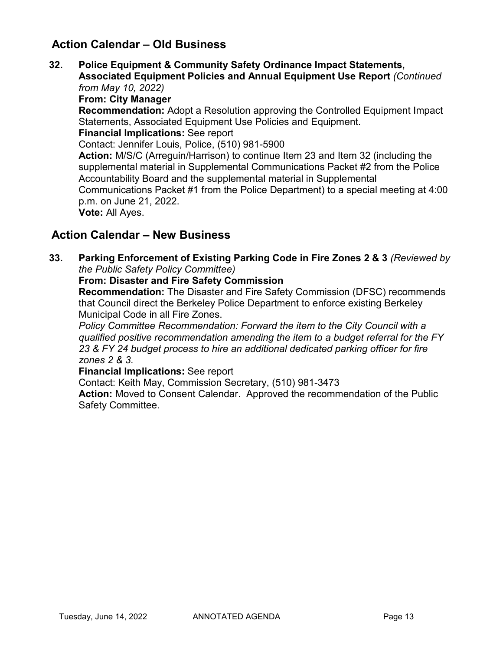## **Action Calendar – Old Business**

**32. Police Equipment & Community Safety Ordinance Impact Statements, Associated Equipment Policies and Annual Equipment Use Report** *(Continued* 

*from May 10, 2022)* **From: City Manager Recommendation:** Adopt a Resolution approving the Controlled Equipment Impact Statements, Associated Equipment Use Policies and Equipment. **Financial Implications:** See report Contact: Jennifer Louis, Police, (510) 981-5900 **Action:** M/S/C (Arreguin/Harrison) to continue Item 23 and Item 32 (including the supplemental material in Supplemental Communications Packet #2 from the Police Accountability Board and the supplemental material in Supplemental Communications Packet #1 from the Police Department) to a special meeting at 4:00 p.m. on June 21, 2022. **Vote:** All Ayes.

## **Action Calendar – New Business**

**33. Parking Enforcement of Existing Parking Code in Fire Zones 2 & 3** *(Reviewed by the Public Safety Policy Committee)*

#### **From: Disaster and Fire Safety Commission**

**Recommendation:** The Disaster and Fire Safety Commission (DFSC) recommends that Council direct the Berkeley Police Department to enforce existing Berkeley Municipal Code in all Fire Zones.

*Policy Committee Recommendation: Forward the item to the City Council with a qualified positive recommendation amending the item to a budget referral for the FY 23 & FY 24 budget process to hire an additional dedicated parking officer for fire zones 2 & 3.*

#### **Financial Implications:** See report

Contact: Keith May, Commission Secretary, (510) 981-3473

**Action:** Moved to Consent Calendar. Approved the recommendation of the Public Safety Committee.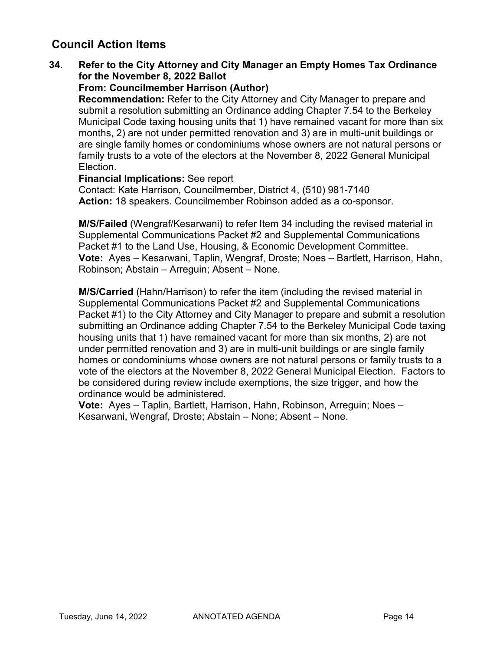## **Council Action Items**

## **34. Refer to the City Attorney and City Manager an Empty Homes Tax Ordinance for the November 8, 2022 Ballot**

## **From: Councilmember Harrison (Author)**

**Recommendation:** Refer to the City Attorney and City Manager to prepare and submit a resolution submitting an Ordinance adding Chapter 7.54 to the Berkeley Municipal Code taxing housing units that 1) have remained vacant for more than six months, 2) are not under permitted renovation and 3) are in multi-unit buildings or are single family homes or condominiums whose owners are not natural persons or family trusts to a vote of the electors at the November 8, 2022 General Municipal Election.

#### **Financial Implications:** See report

Contact: Kate Harrison, Councilmember, District 4, (510) 981-7140 **Action:** 18 speakers. Councilmember Robinson added as a co-sponsor.

**M/S/Failed** (Wengraf/Kesarwani) to refer Item 34 including the revised material in Supplemental Communications Packet #2 and Supplemental Communications Packet #1 to the Land Use, Housing, & Economic Development Committee. **Vote:** Ayes – Kesarwani, Taplin, Wengraf, Droste; Noes – Bartlett, Harrison, Hahn, Robinson; Abstain – Arreguin; Absent – None.

**M/S/Carried** (Hahn/Harrison) to refer the item (including the revised material in Supplemental Communications Packet #2 and Supplemental Communications Packet #1) to the City Attorney and City Manager to prepare and submit a resolution submitting an Ordinance adding Chapter 7.54 to the Berkeley Municipal Code taxing housing units that 1) have remained vacant for more than six months, 2) are not under permitted renovation and 3) are in multi-unit buildings or are single family homes or condominiums whose owners are not natural persons or family trusts to a vote of the electors at the November 8, 2022 General Municipal Election. Factors to be considered during review include exemptions, the size trigger, and how the ordinance would be administered.

**Vote:** Ayes – Taplin, Bartlett, Harrison, Hahn, Robinson, Arreguin; Noes – Kesarwani, Wengraf, Droste; Abstain – None; Absent – None.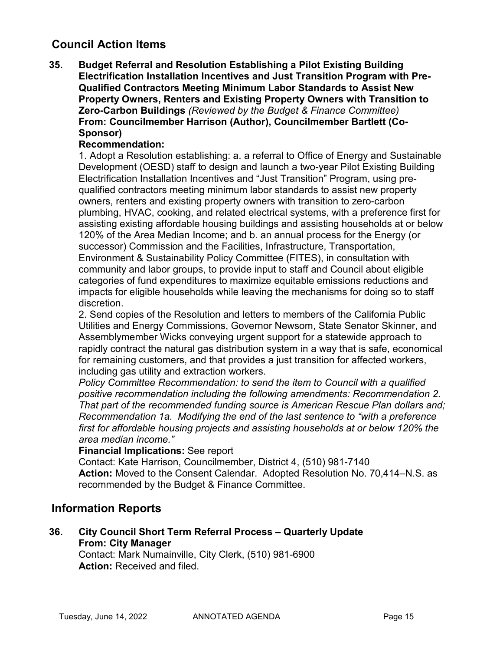## **Council Action Items**

**35. Budget Referral and Resolution Establishing a Pilot Existing Building Electrification Installation Incentives and Just Transition Program with Pre-Qualified Contractors Meeting Minimum Labor Standards to Assist New Property Owners, Renters and Existing Property Owners with Transition to Zero-Carbon Buildings** *(Reviewed by the Budget & Finance Committee)* **From: Councilmember Harrison (Author), Councilmember Bartlett (Co-Sponsor)**

## **Recommendation:**

1. Adopt a Resolution establishing: a. a referral to Office of Energy and Sustainable Development (OESD) staff to design and launch a two-year Pilot Existing Building Electrification Installation Incentives and "Just Transition" Program, using prequalified contractors meeting minimum labor standards to assist new property owners, renters and existing property owners with transition to zero-carbon plumbing, HVAC, cooking, and related electrical systems, with a preference first for assisting existing affordable housing buildings and assisting households at or below 120% of the Area Median Income; and b. an annual process for the Energy (or successor) Commission and the Facilities, Infrastructure, Transportation, Environment & Sustainability Policy Committee (FITES), in consultation with community and labor groups, to provide input to staff and Council about eligible categories of fund expenditures to maximize equitable emissions reductions and impacts for eligible households while leaving the mechanisms for doing so to staff discretion.

2. Send copies of the Resolution and letters to members of the California Public Utilities and Energy Commissions, Governor Newsom, State Senator Skinner, and Assemblymember Wicks conveying urgent support for a statewide approach to rapidly contract the natural gas distribution system in a way that is safe, economical for remaining customers, and that provides a just transition for affected workers, including gas utility and extraction workers.

*Policy Committee Recommendation: to send the item to Council with a qualified positive recommendation including the following amendments: Recommendation 2. That part of the recommended funding source is American Rescue Plan dollars and; Recommendation 1a. Modifying the end of the last sentence to "with a preference first for affordable housing projects and assisting households at or below 120% the area median income."*

## **Financial Implications:** See report

Contact: Kate Harrison, Councilmember, District 4, (510) 981-7140 **Action:** Moved to the Consent Calendar. Adopted Resolution No. 70,414–N.S. as recommended by the Budget & Finance Committee.

## **Information Reports**

**36. City Council Short Term Referral Process – Quarterly Update From: City Manager**

Contact: Mark Numainville, City Clerk, (510) 981-6900 **Action:** Received and filed.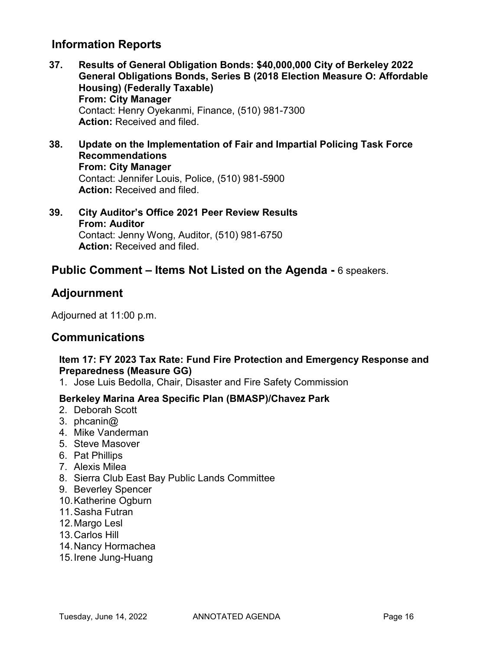## **Information Reports**

- **37. Results of General Obligation Bonds: \$40,000,000 City of Berkeley 2022 General Obligations Bonds, Series B (2018 Election Measure O: Affordable Housing) (Federally Taxable) From: City Manager** Contact: Henry Oyekanmi, Finance, (510) 981-7300 **Action:** Received and filed.
- **38. Update on the Implementation of Fair and Impartial Policing Task Force Recommendations From: City Manager** Contact: Jennifer Louis, Police, (510) 981-5900 **Action:** Received and filed.
- **39. City Auditor's Office 2021 Peer Review Results From: Auditor** Contact: Jenny Wong, Auditor, (510) 981-6750 **Action:** Received and filed.

## **Public Comment – Items Not Listed on the Agenda -** 6 speakers.

## **Adjournment**

Adjourned at 11:00 p.m.

## **Communications**

## **Item 17: FY 2023 Tax Rate: Fund Fire Protection and Emergency Response and Preparedness (Measure GG)**

1. Jose Luis Bedolla, Chair, Disaster and Fire Safety Commission

## **Berkeley Marina Area Specific Plan (BMASP)/Chavez Park**

- 2. Deborah Scott
- 3. phcanin@
- 4. Mike Vanderman
- 5. Steve Masover
- 6. Pat Phillips
- 7. Alexis Milea
- 8. Sierra Club East Bay Public Lands Committee
- 9. Beverley Spencer
- 10.Katherine Ogburn
- 11.Sasha Futran
- 12.Margo Lesl
- 13.Carlos Hill
- 14.Nancy Hormachea
- 15.Irene Jung-Huang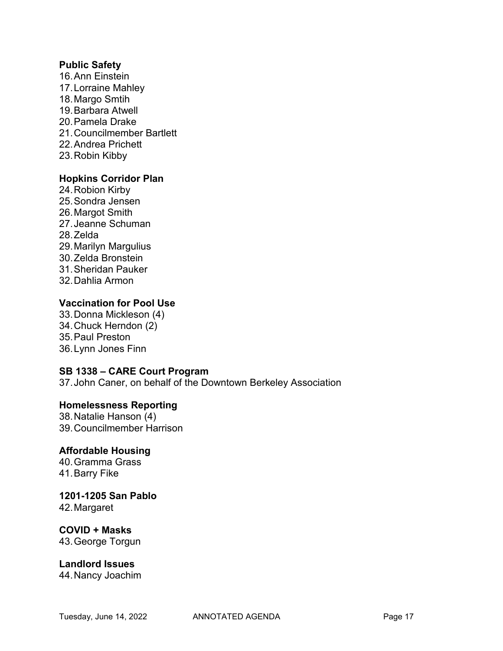#### **Public Safety**

16.Ann Einstein 17.Lorraine Mahley 18.Margo Smtih 19.Barbara Atwell 20.Pamela Drake 21.Councilmember Bartlett 22.Andrea Prichett 23.Robin Kibby

## **Hopkins Corridor Plan**

24.Robion Kirby 25.Sondra Jensen 26.Margot Smith 27.Jeanne Schuman 28.Zelda 29.Marilyn Margulius 30.Zelda Bronstein 31.Sheridan Pauker 32.Dahlia Armon

## **Vaccination for Pool Use**

33.Donna Mickleson (4) 34.Chuck Herndon (2) 35.Paul Preston 36.Lynn Jones Finn

## **SB 1338 – CARE Court Program**

37.John Caner, on behalf of the Downtown Berkeley Association

## **Homelessness Reporting**

38.Natalie Hanson (4) 39.Councilmember Harrison

## **Affordable Housing**

40.Gramma Grass 41.Barry Fike

## **1201-1205 San Pablo**

42.Margaret

## **COVID + Masks**

43.George Torgun

# **Landlord Issues**

44.Nancy Joachim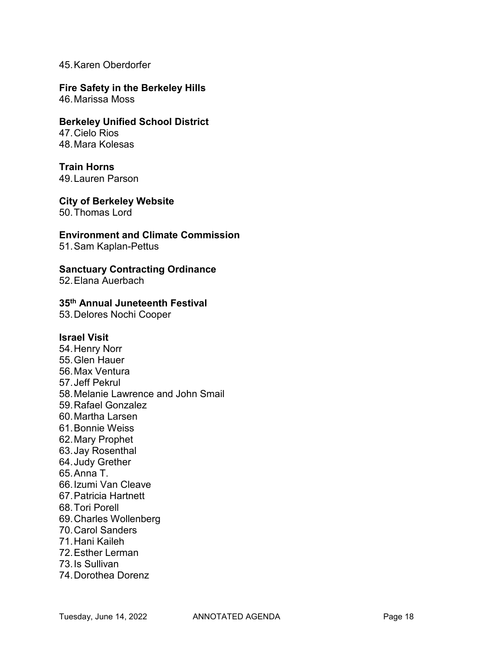#### 45.Karen Oberdorfer

**Fire Safety in the Berkeley Hills** 46.Marissa Moss

**Berkeley Unified School District** 47.Cielo Rios 48.Mara Kolesas

## **Train Horns**

49.Lauren Parson

**City of Berkeley Website** 50.Thomas Lord

#### **Environment and Climate Commission**

51.Sam Kaplan-Pettus

#### **Sanctuary Contracting Ordinance**

52.Elana Auerbach

## **35th Annual Juneteenth Festival**

53.Delores Nochi Cooper

#### **Israel Visit**

54.Henry Norr 55.Glen Hauer 56.Max Ventura 57.Jeff Pekrul 58.Melanie Lawrence and John Smail 59.Rafael Gonzalez 60.Martha Larsen 61.Bonnie Weiss 62.Mary Prophet 63.Jay Rosenthal 64.Judy Grether 65.Anna T. 66.Izumi Van Cleave 67.Patricia Hartnett 68.Tori Porell 69.Charles Wollenberg 70.Carol Sanders 71.Hani Kaileh 72.Esther Lerman 73.Is Sullivan 74.Dorothea Dorenz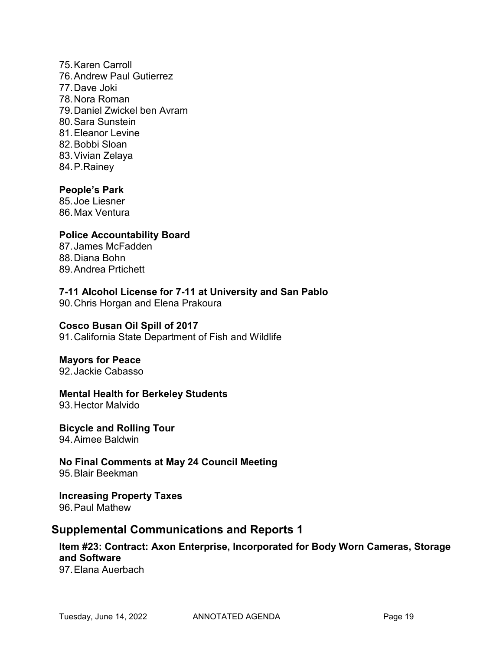75.Karen Carroll 76.Andrew Paul Gutierrez 77.Dave Joki 78.Nora Roman 79.Daniel Zwickel ben Avram 80.Sara Sunstein 81. Eleanor Levine 82.Bobbi Sloan 83.Vivian Zelaya 84.P.Rainey

## **People's Park**

85.Joe Liesner 86.Max Ventura

## **Police Accountability Board**

87.James McFadden 88.Diana Bohn 89.Andrea Prtichett

## **7-11 Alcohol License for 7-11 at University and San Pablo**

90.Chris Horgan and Elena Prakoura

## **Cosco Busan Oil Spill of 2017**

91.California State Department of Fish and Wildlife

## **Mayors for Peace**

92.Jackie Cabasso

## **Mental Health for Berkeley Students**

93.Hector Malvido

**Bicycle and Rolling Tour** 94.Aimee Baldwin

**No Final Comments at May 24 Council Meeting** 95.Blair Beekman

**Increasing Property Taxes**  96.Paul Mathew

## **Supplemental Communications and Reports 1**

# **Item #23: Contract: Axon Enterprise, Incorporated for Body Worn Cameras, Storage and Software**

97.Elana Auerbach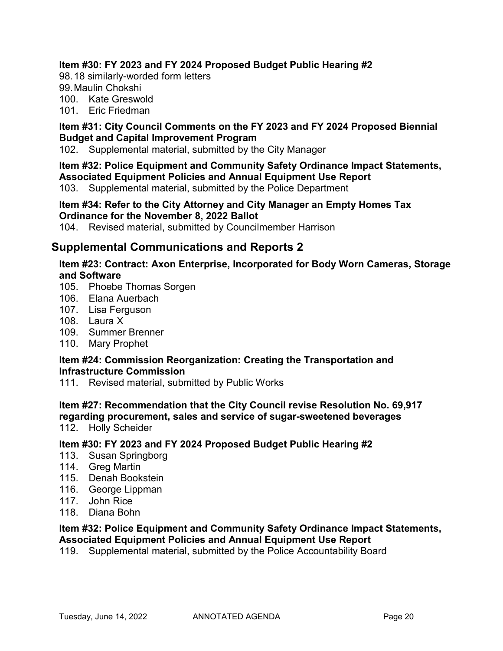## **Item #30: FY 2023 and FY 2024 Proposed Budget Public Hearing #2**

98.18 similarly-worded form letters

99.Maulin Chokshi

100. Kate Greswold

101. Eric Friedman

## **Item #31: City Council Comments on the FY 2023 and FY 2024 Proposed Biennial Budget and Capital Improvement Program**

102. Supplemental material, submitted by the City Manager

## **Item #32: Police Equipment and Community Safety Ordinance Impact Statements, Associated Equipment Policies and Annual Equipment Use Report**

103. Supplemental material, submitted by the Police Department

#### **Item #34: Refer to the City Attorney and City Manager an Empty Homes Tax Ordinance for the November 8, 2022 Ballot**

104. Revised material, submitted by Councilmember Harrison

## **Supplemental Communications and Reports 2**

## **Item #23: Contract: Axon Enterprise, Incorporated for Body Worn Cameras, Storage and Software**

- 105. Phoebe Thomas Sorgen
- 106. Elana Auerbach
- 107. Lisa Ferguson
- 108. Laura X
- 109. Summer Brenner
- 110. Mary Prophet

## **Item #24: Commission Reorganization: Creating the Transportation and Infrastructure Commission**

111. Revised material, submitted by Public Works

## **Item #27: Recommendation that the City Council revise Resolution No. 69,917 regarding procurement, sales and service of sugar-sweetened beverages**

112. Holly Scheider

## **Item #30: FY 2023 and FY 2024 Proposed Budget Public Hearing #2**

- 113. Susan Springborg
- 114. Greg Martin
- 115. Denah Bookstein
- 116. George Lippman
- 117. John Rice
- 118. Diana Bohn

#### **Item #32: Police Equipment and Community Safety Ordinance Impact Statements, Associated Equipment Policies and Annual Equipment Use Report**

119. Supplemental material, submitted by the Police Accountability Board